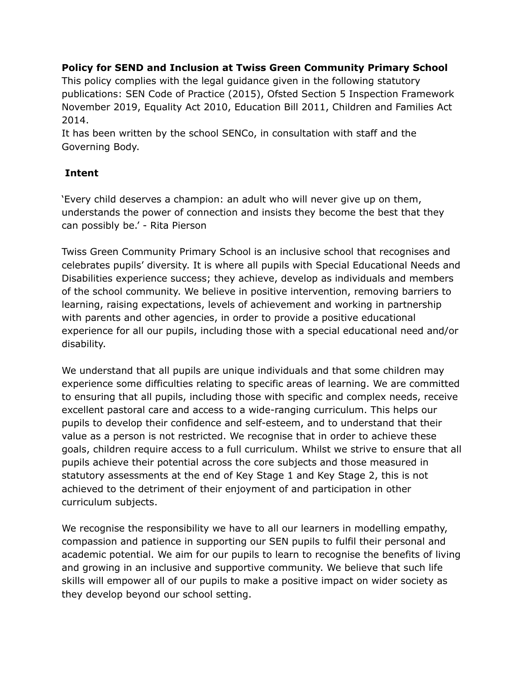**Policy for SEND and Inclusion at Twiss Green Community Primary School**

This policy complies with the legal guidance given in the following statutory publications: SEN Code of Practice (2015), Ofsted Section 5 Inspection Framework November 2019, Equality Act 2010, Education Bill 2011, Children and Families Act 2014.

It has been written by the school SENCo, in consultation with staff and the Governing Body.

## **Intent**

'Every child deserves a champion: an adult who will never give up on them, understands the power of connection and insists they become the best that they can possibly be.' - Rita Pierson

Twiss Green Community Primary School is an inclusive school that recognises and celebrates pupils' diversity. It is where all pupils with Special Educational Needs and Disabilities experience success; they achieve, develop as individuals and members of the school community. We believe in positive intervention, removing barriers to learning, raising expectations, levels of achievement and working in partnership with parents and other agencies, in order to provide a positive educational experience for all our pupils, including those with a special educational need and/or disability.

We understand that all pupils are unique individuals and that some children may experience some difficulties relating to specific areas of learning. We are committed to ensuring that all pupils, including those with specific and complex needs, receive excellent pastoral care and access to a wide-ranging curriculum. This helps our pupils to develop their confidence and self-esteem, and to understand that their value as a person is not restricted. We recognise that in order to achieve these goals, children require access to a full curriculum. Whilst we strive to ensure that all pupils achieve their potential across the core subjects and those measured in statutory assessments at the end of Key Stage 1 and Key Stage 2, this is not achieved to the detriment of their enjoyment of and participation in other curriculum subjects.

We recognise the responsibility we have to all our learners in modelling empathy, compassion and patience in supporting our SEN pupils to fulfil their personal and academic potential. We aim for our pupils to learn to recognise the benefits of living and growing in an inclusive and supportive community. We believe that such life skills will empower all of our pupils to make a positive impact on wider society as they develop beyond our school setting.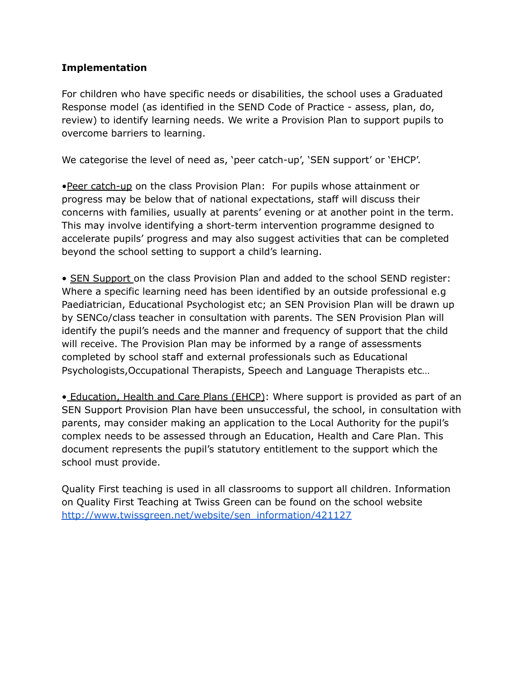## **Implementation**

For children who have specific needs or disabilities, the school uses a Graduated Response model (as identified in the SEND Code of Practice - assess, plan, do, review) to identify learning needs. We write a Provision Plan to support pupils to overcome barriers to learning.

We categorise the level of need as, 'peer catch-up', 'SEN support' or 'EHCP'.

•Peer catch-up on the class Provision Plan: For pupils whose attainment or progress may be below that of national expectations, staff will discuss their concerns with families, usually at parents' evening or at another point in the term. This may involve identifying a short-term intervention programme designed to accelerate pupils' progress and may also suggest activities that can be completed beyond the school setting to support a child's learning.

• SEN Support on the class Provision Plan and added to the school SEND register: Where a specific learning need has been identified by an outside professional e.g Paediatrician, Educational Psychologist etc; an SEN Provision Plan will be drawn up by SENCo/class teacher in consultation with parents. The SEN Provision Plan will identify the pupil's needs and the manner and frequency of support that the child will receive. The Provision Plan may be informed by a range of assessments completed by school staff and external professionals such as Educational Psychologists,Occupational Therapists, Speech and Language Therapists etc…

• Education, Health and Care Plans (EHCP): Where support is provided as part of an SEN Support Provision Plan have been unsuccessful, the school, in consultation with parents, may consider making an application to the Local Authority for the pupil's complex needs to be assessed through an Education, Health and Care Plan. This document represents the pupil's statutory entitlement to the support which the school must provide.

Quality First teaching is used in all classrooms to support all children. Information on Quality First Teaching at Twiss Green can be found on the school website [http://www.twissgreen.net/website/sen\\_information/421127](http://www.twissgreen.net/website/sen_information/421127)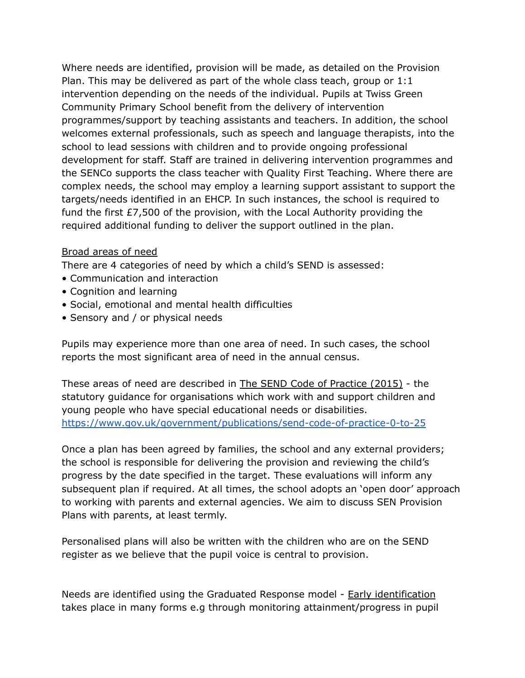Where needs are identified, provision will be made, as detailed on the Provision Plan. This may be delivered as part of the whole class teach, group or 1:1 intervention depending on the needs of the individual. Pupils at Twiss Green Community Primary School benefit from the delivery of intervention programmes/support by teaching assistants and teachers. In addition, the school welcomes external professionals, such as speech and language therapists, into the school to lead sessions with children and to provide ongoing professional development for staff. Staff are trained in delivering intervention programmes and the SENCo supports the class teacher with Quality First Teaching. Where there are complex needs, the school may employ a learning support assistant to support the targets/needs identified in an EHCP. In such instances, the school is required to fund the first £7,500 of the provision, with the Local Authority providing the required additional funding to deliver the support outlined in the plan.

## Broad areas of need

There are 4 categories of need by which a child's SEND is assessed:

- Communication and interaction
- Cognition and learning
- Social, emotional and mental health difficulties
- Sensory and / or physical needs

Pupils may experience more than one area of need. In such cases, the school reports the most significant area of need in the annual census.

These areas of need are described in The SEND Code of Practice (2015) - the statutory guidance for organisations which work with and support children and young people who have special educational needs or disabilities. <https://www.gov.uk/government/publications/send-code-of-practice-0-to-25>

Once a plan has been agreed by families, the school and any external providers; the school is responsible for delivering the provision and reviewing the child's progress by the date specified in the target. These evaluations will inform any subsequent plan if required. At all times, the school adopts an 'open door' approach to working with parents and external agencies. We aim to discuss SEN Provision Plans with parents, at least termly.

Personalised plans will also be written with the children who are on the SEND register as we believe that the pupil voice is central to provision.

Needs are identified using the Graduated Response model - Early identification takes place in many forms e.g through monitoring attainment/progress in pupil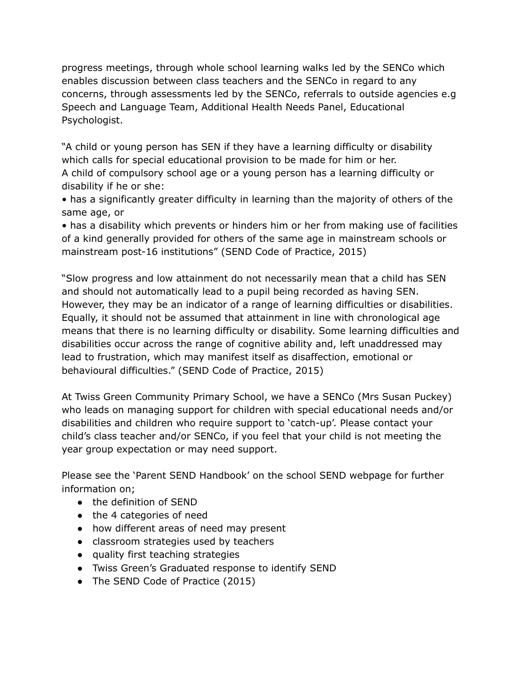progress meetings, through whole school learning walks led by the SENCo which enables discussion between class teachers and the SENCo in regard to any concerns, through assessments led by the SENCo, referrals to outside agencies e.g Speech and Language Team, Additional Health Needs Panel, Educational Psychologist.

"A child or young person has SEN if they have a learning difficulty or disability which calls for special educational provision to be made for him or her. A child of compulsory school age or a young person has a learning difficulty or disability if he or she:

• has a significantly greater difficulty in learning than the majority of others of the same age, or

• has a disability which prevents or hinders him or her from making use of facilities of a kind generally provided for others of the same age in mainstream schools or mainstream post-16 institutions" (SEND Code of Practice, 2015)

"Slow progress and low attainment do not necessarily mean that a child has SEN and should not automatically lead to a pupil being recorded as having SEN. However, they may be an indicator of a range of learning difficulties or disabilities. Equally, it should not be assumed that attainment in line with chronological age means that there is no learning difficulty or disability. Some learning difficulties and disabilities occur across the range of cognitive ability and, left unaddressed may lead to frustration, which may manifest itself as disaffection, emotional or behavioural difficulties." (SEND Code of Practice, 2015)

At Twiss Green Community Primary School, we have a SENCo (Mrs Susan Puckey) who leads on managing support for children with special educational needs and/or disabilities and children who require support to 'catch-up'. Please contact your child's class teacher and/or SENCo, if you feel that your child is not meeting the year group expectation or may need support.

Please see the 'Parent SEND Handbook' on the school SEND webpage for further information on;

- the definition of SEND
- the 4 categories of need
- how different areas of need may present
- classroom strategies used by teachers
- quality first teaching strategies
- Twiss Green's Graduated response to identify SEND
- The SEND Code of Practice (2015)